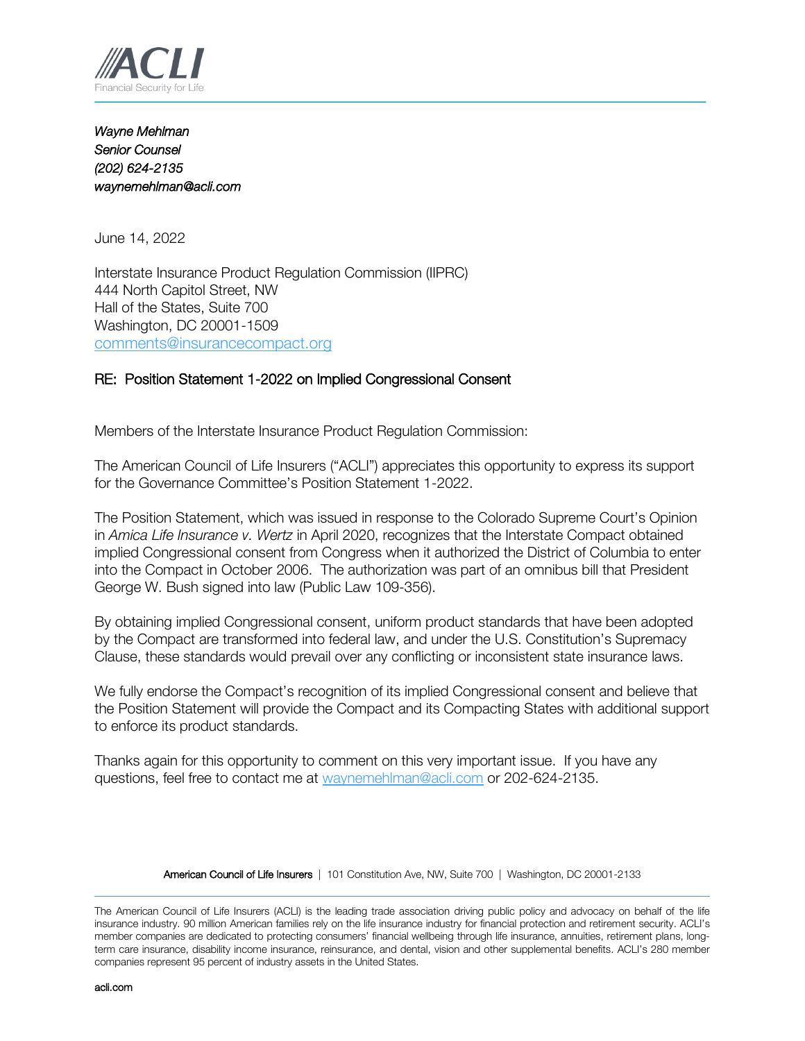

*Wayne Mehlman Senior Counsel (202) 624-2135 waynemehlman@acli.com* 

June 14, 2022

Interstate Insurance Product Regulation Commission (IIPRC) 444 North Capitol Street, NW Hall of the States, Suite 700 Washington, DC 20001-1509 [comments@insurancecompact.org](mailto:comments@insurancecompact.org)

## RE: Position Statement 1-2022 on Implied Congressional Consent

Members of the Interstate Insurance Product Regulation Commission:

The American Council of Life Insurers ("ACLI") appreciates this opportunity to express its support for the Governance Committee's Position Statement 1-2022.

The Position Statement, which was issued in response to the Colorado Supreme Court's Opinion in *Amica Life Insurance v. Wertz* in April 2020, recognizes that the Interstate Compact obtained implied Congressional consent from Congress when it authorized the District of Columbia to enter into the Compact in October 2006. The authorization was part of an omnibus bill that President George W. Bush signed into law (Public Law 109-356).

By obtaining implied Congressional consent, uniform product standards that have been adopted by the Compact are transformed into federal law, and under the U.S. Constitution's Supremacy Clause, these standards would prevail over any conflicting or inconsistent state insurance laws.

We fully endorse the Compact's recognition of its implied Congressional consent and believe that the Position Statement will provide the Compact and its Compacting States with additional support to enforce its product standards.

Thanks again for this opportunity to comment on this very important issue. If you have any questions, feel free to contact me at [waynemehlman@acli.com](mailto:waynemehlman@acli.com) or 202-624-2135.

American Council of Life Insurers | 101 Constitution Ave, NW, Suite 700 | Washington, DC 20001-2133

The American Council of Life Insurers (ACLI) is the leading trade association driving public policy and advocacy on behalf of the life insurance industry. 90 million American families rely on the life insurance industry for financial protection and retirement security. ACLI's member companies are dedicated to protecting consumers' financial wellbeing through life insurance, annuities, retirement plans, longterm care insurance, disability income insurance, reinsurance, and dental, vision and other supplemental benefits. ACLI's 280 member companies represent 95 percent of industry assets in the United States.